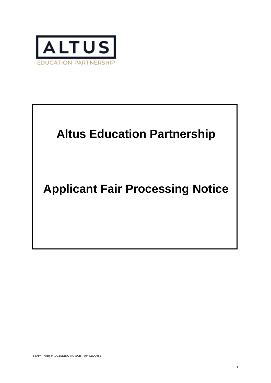

# **Altus Education Partnership**

## **Applicant Fair Processing Notice**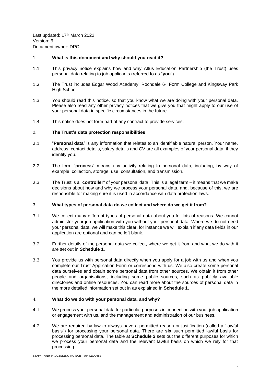Last updated: 17<sup>th</sup> March 2022 Version: 6 Document owner: DPO

## 1. **What is this document and why should you read it?**

- 1.1 This privacy notice explains how and why Altus Education Partnership (the Trust) uses personal data relating to job applicants (referred to as "**you**").
- 1.2 The Trust includes Edgar Wood Academy, Rochdale 6<sup>th</sup> Form College and Kingsway Park High School.
- 1.3 You should read this notice, so that you know what we are doing with your personal data. Please also read any other privacy notices that we give you that might apply to our use of your personal data in specific circumstances in the future.
- 1.4 This notice does not form part of any contract to provide services.

## 2. **The Trust's data protection responsibilities**

- 2.1 "**Personal data**" is any information that relates to an identifiable natural person. Your name, address, contact details, salary details and CV are all examples of your personal data, if they identify you.
- 2.2 The term "**process**" means any activity relating to personal data, including, by way of example, collection, storage, use, consultation, and transmission.
- 2.3 The Trust is a "**controller**" of your personal data. This is a legal term it means that we make decisions about how and why we process your personal data, and, because of this, we are responsible for making sure it is used in accordance with data protection laws.

#### 3. **What types of personal data do we collect and where do we get it from?**

- 3.1 We collect many different types of personal data about you for lots of reasons. We cannot administer your job application with you without your personal data. Where we do not need your personal data, we will make this clear, for instance we will explain if any data fields in our application are optional and can be left blank.
- 3.2 Further details of the personal data we collect, where we get it from and what we do with it are set out in **Schedule 1**.
- 3.3 You provide us with personal data directly when you apply for a job with us and when you complete our Trust Application Form or correspond with us. We also create some personal data ourselves and obtain some personal data from other sources. We obtain it from other people and organisations, including some public sources, such as publicly available directories and online resources. You can read more about the sources of personal data in the more detailed information set out in as explained in **Schedule 1.**

## 4. **What do we do with your personal data, and why?**

- 4.1 We process your personal data for particular purposes in connection with your job application or engagement with us, and the management and administration of our business.
- 4.2 We are required by law to always have a permitted reason or justification (called a "lawful basis") for processing your personal data. There are **six** such permitted lawful basis for processing personal data. The table at **Schedule 2** sets out the different purposes for which we process your personal data and the relevant lawful basis on which we rely for that processing.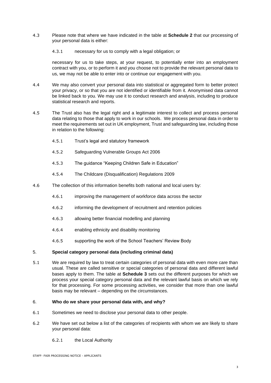- 4.3 Please note that where we have indicated in the table at **Schedule 2** that our processing of your personal data is either:
	- 4.3.1 necessary for us to comply with a legal obligation; or

necessary for us to take steps, at your request, to potentially enter into an employment contract with you, or to perform it and you choose not to provide the relevant personal data to us, we may not be able to enter into or continue our engagement with you.

- 4.4 We may also convert your personal data into statistical or aggregated form to better protect your privacy, or so that you are not identified or identifiable from it. Anonymised data cannot be linked back to you. We may use it to conduct research and analysis, including to produce statistical research and reports.
- 4.5 The Trust also has the legal right and a legitimate interest to collect and process personal data relating to those that apply to work in our schools. We process personal data in order to meet the requirements set out in UK employment, Trust and safeguarding law, including those in relation to the following:
	- 4.5.1 Trust's legal and statutory framework
	- 4.5.2 Safeguarding Vulnerable Groups Act 2006
	- 4.5.3 The guidance "Keeping Children Safe in Education"
	- 4.5.4 The Childcare (Disqualification) Regulations 2009
- 4.6 The collection of this information benefits both national and local users by:
	- 4.6.1 improving the management of workforce data across the sector
	- 4.6.2 informing the development of recruitment and retention policies
	- 4.6.3 allowing better financial modelling and planning
	- 4.6.4 enabling ethnicity and disability monitoring
	- 4.6.5 supporting the work of the School Teachers' Review Body

#### 5. **Special category personal data (including criminal data)**

5.1 We are required by law to treat certain categories of personal data with even more care than usual. These are called sensitive or special categories of personal data and different lawful bases apply to them. The table at **Schedule 3** sets out the different purposes for which we process your special category personal data and the relevant lawful basis on which we rely for that processing. For some processing activities, we consider that more than one lawful basis may be relevant – depending on the circumstances.

## 6. **Who do we share your personal data with, and why?**

- 6.1 Sometimes we need to disclose your personal data to other people.
- 6.2 We have set out below a list of the categories of recipients with whom we are likely to share your personal data:
	- 6.2.1 the Local Authority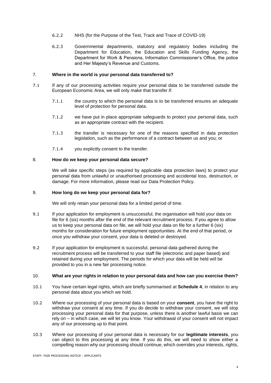- 6.2.2 NHS (for the Purpose of the Test, Track and Trace of COVID-19)
- 6.2.3 Governmental departments, statutory and regulatory bodies including the Department for Education, the Education and Skills Funding Agency, the Department for Work & Pensions, Information Commissioner's Office, the police and Her Majesty's Revenue and Customs.

#### 7. **Where in the world is your personal data transferred to?**

- 7.1 If any of our processing activities require your personal data to be transferred outside the European Economic Area, we will only make that transfer if:
	- 7.1.1 the country to which the personal data is to be transferred ensures an adequate level of protection for personal data.
	- 7.1.2 we have put in place appropriate safeguards to protect your personal data, such as an appropriate contract with the recipient.
	- 7.1.3 the transfer is necessary for one of the reasons specified in data protection legislation, such as the performance of a contract between us and you; or
	- 7.1.4 you explicitly consent to the transfer.

#### 8. **How do we keep your personal data secure?**

We will take specific steps (as required by applicable data protection laws) to protect your personal data from unlawful or unauthorised processing and accidental loss, destruction, or damage. For more information, please read our Data Protection Policy.

## <span id="page-3-0"></span>9. **How long do we keep your personal data for?**

We will only retain your personal data for a limited period of time.

- 9.1 If your application for employment is unsuccessful, the organisation will hold your data on file for 6 (six) months after the end of the relevant recruitment process. If you agree to allow us to keep your personal data on file, we will hold your data on file for a further 6 (six) months for consideration for future employment opportunities. At the end of that period, or once you withdraw your consent, your data is deleted or destroyed.
- 9.2 If your application for employment is successful, personal data gathered during the recruitment process will be transferred to your staff file (electronic and paper based) and retained during your employment. The periods for which your data will be held will be provided to you in a new fair processing notice.

#### 10. **What are your rights in relation to your personal data and how can you exercise them?**

- 10.1 You have certain legal rights, which are briefly summarised at **Schedule 4**, in relation to any personal data about you which we hold.
- 10.2 Where our processing of your personal data is based on your **consent**, you have the right to withdraw your consent at any time. If you do decide to withdraw your consent, we will stop processing your personal data for that purpose, unless there is another lawful basis we can rely on – in which case, we will let you know. Your withdrawal of your consent will not impact any of our processing up to that point.
- 10.3 Where our processing of your personal data is necessary for our **legitimate interests**, you can object to this processing at any time. If you do this, we will need to show either a compelling reason why our processing should continue, which overrides your interests, rights,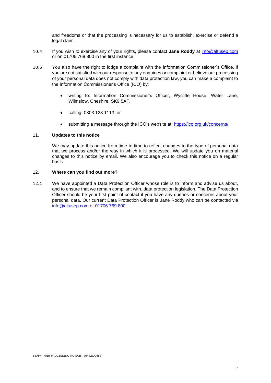and freedoms or that the processing is necessary for us to establish, exercise or defend a legal claim.

- 10.4 If you wish to exercise any of your rights, please contact **Jane Roddy** at [info@altusep.com](mailto:info@altusep.com) or on 01706 769 800 in the first instance.
- 10.5 You also have the right to lodge a complaint with the Information Commissioner's Office, if you are not satisfied with our response to any enquiries or complaint or believe our processing of your personal data does not comply with data protection law, you can make a complaint to the Information Commissioner's Office (ICO) by:
	- writing to: Information Commissioner's Officer, Wycliffe House, Water Lane, Wilmslow, Cheshire, SK9 5AF.
	- calling: 0303 123 1113; or
	- submitting a message through the ICO's website at:<https://ico.org.uk/concerns/>

#### 11. **Updates to this notice**

We may update this notice from time to time to reflect changes to the type of personal data that we process and/or the way in which it is processed. We will update you on material changes to this notice by email. We also encourage you to check this notice on a regular basis.

#### 12. **Where can you find out more?**

12.1 We have appointed a Data Protection Officer whose role is to inform and advise us about, and to ensure that we remain compliant with, data protection legislation. The Data Protection Officer should be your first point of contact if you have any queries or concerns about your personal data. Our current Data Protection Officer is Jane Roddy who can be contacted via [info@altusep.com](mailto:info@altusep.com) or [01706 769](tel:+441706769800) 800.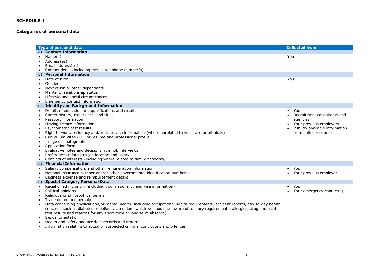## **Categories of personal data**

|              | <b>Type of personal data</b>                                                                                                    |                  | <b>Collected from</b>          |
|--------------|---------------------------------------------------------------------------------------------------------------------------------|------------------|--------------------------------|
|              | <b>Contact Information</b>                                                                                                      |                  |                                |
| $\bullet$    | Name(s)                                                                                                                         | You              |                                |
| $\bullet$    | Address(es)                                                                                                                     |                  |                                |
|              | Email address(es)                                                                                                               |                  |                                |
| $\bullet$    | Contact details including mobile telephone number(s)                                                                            |                  |                                |
| b)           | <b>Personal Information</b>                                                                                                     |                  |                                |
| $\bullet$    | Date of birth                                                                                                                   | You              |                                |
| $\bullet$    | Gender                                                                                                                          |                  |                                |
|              | Next of kin or other dependants                                                                                                 |                  |                                |
| $\bullet$    | Marital or relationship status                                                                                                  |                  |                                |
| $\bullet$    | Lifestyle and social circumstances                                                                                              |                  |                                |
| $\bullet$    | Emergency contact information                                                                                                   |                  |                                |
| $\mathsf{C}$ | <b>Identity and Background Information</b>                                                                                      |                  |                                |
| $\bullet$    | Details of education and qualifications and results                                                                             | You<br>$\bullet$ |                                |
| $\bullet$    | Career history, experience, and skills                                                                                          | $\bullet$        | Recruitment consultants and    |
| $\bullet$    | Passport information                                                                                                            |                  | agencies                       |
|              | Driving licence information                                                                                                     |                  | Your previous employers        |
| $\bullet$    | Psychometric test results                                                                                                       |                  | Publicly available information |
| $\bullet$    | Right to work, residency and/or other visa information (where unrelated to your race or ethnicity)                              |                  | from online resources          |
|              | Curriculum Vitae (CV) or resume and professional profile                                                                        |                  |                                |
| $\bullet$    | Image or photographs                                                                                                            |                  |                                |
| $\bullet$    | Application form                                                                                                                |                  |                                |
| ٠            | Evaluative notes and decisions from job interviews                                                                              |                  |                                |
|              | Preferences relating to job location and salary                                                                                 |                  |                                |
| $\bullet$    | Conflicts of interests (including where related to family networks)                                                             |                  |                                |
| d)           | <b>Financial Information</b>                                                                                                    |                  |                                |
| $\bullet$    | Salary, compensation, and other remuneration information                                                                        | You<br>$\bullet$ |                                |
| $\bullet$    | National insurance number and/or other governmental identification numbers                                                      | $\bullet$        | Your previous employer         |
| $\bullet$    | Business expense and reimbursement details                                                                                      |                  |                                |
|              | <b>Special Category Personal Data</b>                                                                                           |                  |                                |
| $\bullet$    | Racial or ethnic origin (including your nationality and visa information)                                                       | You<br>$\bullet$ |                                |
|              | Political opinions                                                                                                              |                  | Your emergency contact(s)      |
| $\bullet$    | Religious or philosophical beliefs                                                                                              |                  |                                |
| $\bullet$    | Trade union membership                                                                                                          |                  |                                |
| $\bullet$    | Data concerning physical and/or mental health (including occupational health requirements, accident reports, day-to-day health  |                  |                                |
|              | concerns such as diabetes or epilepsy conditions which we should be aware of, dietary requirements, allergies, drug and alcohol |                  |                                |
|              | test results and reasons for any short term or long-term absence)                                                               |                  |                                |
|              | Sexual orientation                                                                                                              |                  |                                |
|              | Health and safety and accident records and reports                                                                              |                  |                                |

• Information relating to actual or suspected criminal convictions and offences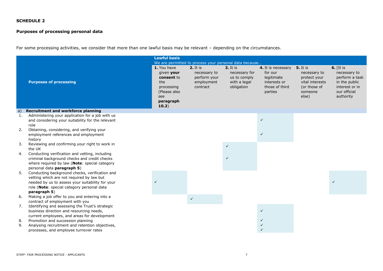## **Purposes of processing personal data**

For some processing activities, we consider that more than one lawful basis may be relevant – depending on the circumstances.

|          |                                                                                                                                                                                                               | <b>Lawful basis</b>                                                                                       |                                                                                                                              |                                                                           |                                                                                          |                                                                                                        |                                                                                                               |
|----------|---------------------------------------------------------------------------------------------------------------------------------------------------------------------------------------------------------------|-----------------------------------------------------------------------------------------------------------|------------------------------------------------------------------------------------------------------------------------------|---------------------------------------------------------------------------|------------------------------------------------------------------------------------------|--------------------------------------------------------------------------------------------------------|---------------------------------------------------------------------------------------------------------------|
|          | <b>Purposes of processing</b>                                                                                                                                                                                 | 1. You have<br>given your<br>consent to<br>the<br>processing<br>(Please also<br>see<br>paragraph<br>10.2) | We are permitted to process your personal data because<br>2. It is<br>necessary to<br>perform your<br>employment<br>contract | $3.$ It is<br>necessary for<br>us to comply<br>with a legal<br>obligation | 4. It is necessary<br>for our<br>legitimate<br>interests or<br>those of third<br>parties | <b>5.</b> It is<br>necessary to<br>protect your<br>vital interests<br>(or those of<br>someone<br>else) | $6.$ [It is<br>necessary to<br>perform a task<br>in the public<br>interest or in<br>our official<br>authority |
| a)       | <b>Recruitment and workforce planning</b>                                                                                                                                                                     |                                                                                                           |                                                                                                                              |                                                                           |                                                                                          |                                                                                                        |                                                                                                               |
| 1.<br>2. | Administering your application for a job with us<br>and considering your suitability for the relevant<br>role<br>Obtaining, considering, and verifying your                                                   |                                                                                                           |                                                                                                                              |                                                                           | $\checkmark$                                                                             |                                                                                                        |                                                                                                               |
|          | employment references and employment<br>history                                                                                                                                                               |                                                                                                           |                                                                                                                              |                                                                           | $\checkmark$                                                                             |                                                                                                        |                                                                                                               |
| 3.       | Reviewing and confirming your right to work in<br>the UK                                                                                                                                                      |                                                                                                           |                                                                                                                              | $\checkmark$                                                              |                                                                                          |                                                                                                        |                                                                                                               |
| 4.       | Conducting verification and vetting, including<br>criminal background checks and credit checks<br>where required by law (Note: special category<br>personal data paragraph 5)                                 |                                                                                                           |                                                                                                                              |                                                                           |                                                                                          |                                                                                                        |                                                                                                               |
| 5.       | Conducting background checks, verification and<br>vetting which are not required by law but<br>needed by us to assess your suitability for your<br>role (Note: special category personal data<br>paragraph 5) |                                                                                                           |                                                                                                                              |                                                                           |                                                                                          |                                                                                                        |                                                                                                               |
| 6.       | Making a job offer to you and entering into a<br>contract of employment with you                                                                                                                              |                                                                                                           | $\checkmark$                                                                                                                 |                                                                           |                                                                                          |                                                                                                        |                                                                                                               |
| 7.       | Identifying and assessing the Trust's strategic<br>business direction and resourcing needs,<br>current employees, and areas for development                                                                   |                                                                                                           |                                                                                                                              |                                                                           | $\checkmark$                                                                             |                                                                                                        |                                                                                                               |
| 8.<br>9. | Promotion and succession planning<br>Analysing recruitment and retention objectives,<br>processes, and employee turnover rates                                                                                |                                                                                                           |                                                                                                                              |                                                                           |                                                                                          |                                                                                                        |                                                                                                               |
|          |                                                                                                                                                                                                               |                                                                                                           |                                                                                                                              |                                                                           |                                                                                          |                                                                                                        |                                                                                                               |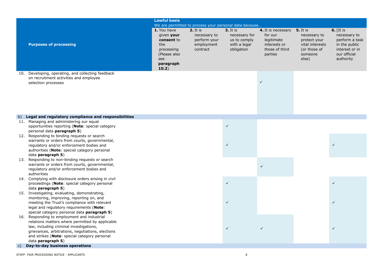|              |                                                       | <b>Lawful basis</b> |                                                        |               |                    |                 |                |
|--------------|-------------------------------------------------------|---------------------|--------------------------------------------------------|---------------|--------------------|-----------------|----------------|
|              |                                                       |                     | We are permitted to process your personal data because |               |                    |                 |                |
|              |                                                       | 1. You have         | 2. It is                                               | $3.$ It is    | 4. It is necessary | <b>5.</b> It is | $6.$ [It is    |
|              |                                                       |                     |                                                        |               | for our            |                 | necessary to   |
|              |                                                       | given your          | necessary to                                           | necessary for |                    | necessary to    |                |
|              |                                                       | consent to          | perform your                                           | us to comply  | legitimate         | protect your    | perform a task |
|              | <b>Purposes of processing</b>                         | the                 | employment                                             | with a legal  | interests or       | vital interests | in the public  |
|              |                                                       | processing          | contract                                               | obligation    | those of third     | (or those of    | interest or in |
|              |                                                       | (Please also        |                                                        |               | parties            | someone         | our official   |
|              |                                                       | see                 |                                                        |               |                    | else)           | authority      |
|              |                                                       | paragraph           |                                                        |               |                    |                 |                |
|              |                                                       | 10.2)               |                                                        |               |                    |                 |                |
| 10.          | Developing, operating, and collecting feedback        |                     |                                                        |               |                    |                 |                |
|              | on recruitment activities and employee                |                     |                                                        |               |                    |                 |                |
|              | selection processes                                   |                     |                                                        |               | $\checkmark$       |                 |                |
|              |                                                       |                     |                                                        |               |                    |                 |                |
|              |                                                       |                     |                                                        |               |                    |                 |                |
|              |                                                       |                     |                                                        |               |                    |                 |                |
|              |                                                       |                     |                                                        |               |                    |                 |                |
|              |                                                       |                     |                                                        |               |                    |                 |                |
|              |                                                       |                     |                                                        |               |                    |                 |                |
| b)           | Legal and regulatory compliance and responsibilities  |                     |                                                        |               |                    |                 |                |
|              | 11. Managing and administering our equal              |                     |                                                        |               |                    |                 |                |
|              | opportunities reporting (Note: special category       |                     |                                                        | $\checkmark$  |                    |                 |                |
|              | personal data paragraph 5)                            |                     |                                                        |               |                    |                 |                |
|              | 12. Responding to binding requests or search          |                     |                                                        |               |                    |                 |                |
|              | warrants or orders from courts, governmental,         |                     |                                                        |               |                    |                 |                |
|              | regulatory and/or enforcement bodies and              |                     |                                                        | $\checkmark$  |                    |                 | $\checkmark$   |
|              | authorities (Note: special category personal          |                     |                                                        |               |                    |                 |                |
|              | data paragraph 5)                                     |                     |                                                        |               |                    |                 |                |
|              | 13. Responding to non-binding requests or search      |                     |                                                        |               |                    |                 |                |
|              | warrants or orders from courts, governmental,         |                     |                                                        |               |                    |                 |                |
|              |                                                       |                     |                                                        |               | $\checkmark$       |                 |                |
|              | regulatory and/or enforcement bodies and              |                     |                                                        |               |                    |                 |                |
|              | authorities                                           |                     |                                                        |               |                    |                 |                |
|              | 14. Complying with disclosure orders arising in civil |                     |                                                        | $\checkmark$  |                    |                 | $\checkmark$   |
|              | proceedings (Note: special category personal          |                     |                                                        |               |                    |                 |                |
|              | data <b>paragraph 5</b> )                             |                     |                                                        |               |                    |                 |                |
|              | 15. Investigating, evaluating, demonstrating,         |                     |                                                        |               |                    |                 |                |
|              | monitoring, improving, reporting on, and              |                     |                                                        |               |                    |                 |                |
|              | meeting the Trust's compliance with relevant          |                     |                                                        | $\checkmark$  |                    |                 | $\checkmark$   |
|              | legal and regulatory requirements (Note:              |                     |                                                        |               |                    |                 |                |
|              | special category personal data paragraph 5)           |                     |                                                        |               |                    |                 |                |
| 16.          | Responding to employment and industrial               |                     |                                                        |               |                    |                 |                |
|              | relations matters where permitted by applicable       |                     |                                                        |               |                    |                 |                |
|              | law, including criminal investigations,               |                     |                                                        | $\checkmark$  | $\checkmark$       |                 | $\checkmark$   |
|              | grievances, arbitrations, negotiations, elections     |                     |                                                        |               |                    |                 |                |
|              | and strikes (Note: special category personal          |                     |                                                        |               |                    |                 |                |
|              | data paragraph 5)                                     |                     |                                                        |               |                    |                 |                |
| $\mathsf{C}$ | Day-to-day business operations                        |                     |                                                        |               |                    |                 |                |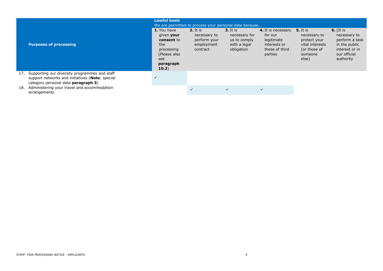|     |                                                                                                                                         | <b>Lawful basis</b><br>We are permitted to process your personal data because                             |                                                                      |                                                                           |                                                                                          |                                                                                                        |                                                                                                               |
|-----|-----------------------------------------------------------------------------------------------------------------------------------------|-----------------------------------------------------------------------------------------------------------|----------------------------------------------------------------------|---------------------------------------------------------------------------|------------------------------------------------------------------------------------------|--------------------------------------------------------------------------------------------------------|---------------------------------------------------------------------------------------------------------------|
|     | <b>Purposes of processing</b>                                                                                                           | 1. You have<br>given your<br>consent to<br>the<br>processing<br>(Please also<br>see<br>paragraph<br>10.2) | $2.$ It is<br>necessary to<br>perform your<br>employment<br>contract | $3.$ It is<br>necessary for<br>us to comply<br>with a legal<br>obligation | 4. It is necessary<br>for our<br>legitimate<br>interests or<br>those of third<br>parties | <b>5.</b> It is<br>necessary to<br>protect your<br>vital interests<br>(or those of<br>someone<br>else) | 6. $[It is$<br>necessary to<br>perform a task<br>in the public<br>interest or in<br>our official<br>authority |
| 17. | Supporting our diversity programmes and staff<br>support networks and initiatives (Note: special<br>category personal data paragraph 5) | $\checkmark$                                                                                              |                                                                      |                                                                           |                                                                                          |                                                                                                        |                                                                                                               |
| 18. | Administering your travel and accommodation<br>arrangements                                                                             |                                                                                                           | $\checkmark$                                                         | $\checkmark$                                                              | $\checkmark$                                                                             |                                                                                                        |                                                                                                               |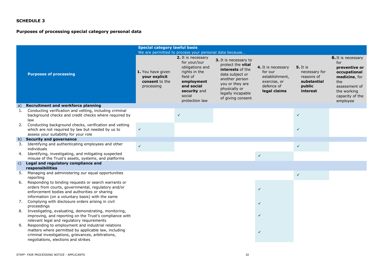## **Purposes of processing special category personal data**

|              |                                                                                                                                                                                                                  | <b>Special category lawful basis</b>                               |                                                                                                                                                                                                                      |                                                                                                                                                                                          |                                                                                               |                                                                                     |                                                                                                                                                          |
|--------------|------------------------------------------------------------------------------------------------------------------------------------------------------------------------------------------------------------------|--------------------------------------------------------------------|----------------------------------------------------------------------------------------------------------------------------------------------------------------------------------------------------------------------|------------------------------------------------------------------------------------------------------------------------------------------------------------------------------------------|-----------------------------------------------------------------------------------------------|-------------------------------------------------------------------------------------|----------------------------------------------------------------------------------------------------------------------------------------------------------|
|              | <b>Purposes of processing</b>                                                                                                                                                                                    | 1. You have given<br>your explicit<br>consent to the<br>processing | We are permitted to process your personal data because<br>2. It is necessary<br>for your/our<br>obligations and<br>rights in the<br>field of<br>employment<br>and social<br>security and<br>social<br>protection law | 3. It is necessary to<br>protect the <b>vital</b><br>interests of the<br>data subject or<br>another person<br>you or they are<br>physically or<br>legally incapable<br>of giving consent | 4. It is necessary<br>for our<br>establishment,<br>exercise, or<br>defence of<br>legal claims | <b>5.</b> It is<br>necessary for<br>reasons of<br>substantial<br>public<br>interest | <b>6.</b> It is necessary<br>for<br>preventive or<br>occupational<br>medicine, for<br>the<br>assessment of<br>the working<br>capacity of the<br>employee |
| a)           | <b>Recruitment and workforce planning</b>                                                                                                                                                                        |                                                                    |                                                                                                                                                                                                                      |                                                                                                                                                                                          |                                                                                               |                                                                                     |                                                                                                                                                          |
| 1.           | Conducting verification and vetting, including criminal<br>background checks and credit checks where required by<br>law                                                                                          |                                                                    | $\checkmark$                                                                                                                                                                                                         |                                                                                                                                                                                          |                                                                                               | $\checkmark$                                                                        |                                                                                                                                                          |
| 2.           | Conducting background checks, verification and vetting<br>which are not required by law but needed by us to<br>assess your suitability for your role                                                             | $\checkmark$                                                       |                                                                                                                                                                                                                      |                                                                                                                                                                                          |                                                                                               | $\checkmark$                                                                        |                                                                                                                                                          |
| b)           | <b>Security and governance</b>                                                                                                                                                                                   |                                                                    |                                                                                                                                                                                                                      |                                                                                                                                                                                          |                                                                                               |                                                                                     |                                                                                                                                                          |
| 3.           | Identifying and authenticating employees and other<br>individuals                                                                                                                                                | $\checkmark$                                                       |                                                                                                                                                                                                                      |                                                                                                                                                                                          |                                                                                               | $\checkmark$                                                                        |                                                                                                                                                          |
| 4.           | Identifying, investigating, and mitigating suspected<br>misuse of the Trust's assets, systems, and platforms                                                                                                     |                                                                    |                                                                                                                                                                                                                      |                                                                                                                                                                                          | $\checkmark$                                                                                  |                                                                                     |                                                                                                                                                          |
| $\mathsf{C}$ | Legal and regulatory compliance and<br>responsibilities                                                                                                                                                          |                                                                    |                                                                                                                                                                                                                      |                                                                                                                                                                                          |                                                                                               |                                                                                     |                                                                                                                                                          |
| 5.           | Managing and administering our equal opportunities<br>reporting                                                                                                                                                  |                                                                    |                                                                                                                                                                                                                      |                                                                                                                                                                                          |                                                                                               | $\checkmark$                                                                        |                                                                                                                                                          |
| 6.           | Responding to binding requests or search warrants or<br>orders from courts, governmental, regulatory and/or<br>enforcement bodies and authorities or sharing<br>information (on a voluntary basis) with the same |                                                                    |                                                                                                                                                                                                                      |                                                                                                                                                                                          | $\checkmark$                                                                                  |                                                                                     |                                                                                                                                                          |
| 7.           | Complying with disclosure orders arising in civil<br>proceedings                                                                                                                                                 |                                                                    |                                                                                                                                                                                                                      |                                                                                                                                                                                          | $\checkmark$                                                                                  |                                                                                     |                                                                                                                                                          |
| 8.           | Investigating, evaluating, demonstrating, monitoring,<br>improving, and reporting on the Trust's compliance with<br>relevant legal and regulatory requirements                                                   |                                                                    |                                                                                                                                                                                                                      |                                                                                                                                                                                          |                                                                                               |                                                                                     |                                                                                                                                                          |
| 9.           | Responding to employment and industrial relations<br>matters where permitted by applicable law, including<br>criminal investigations, grievances, arbitrations,<br>negotiations, elections and strikes           |                                                                    |                                                                                                                                                                                                                      |                                                                                                                                                                                          | $\checkmark$                                                                                  |                                                                                     |                                                                                                                                                          |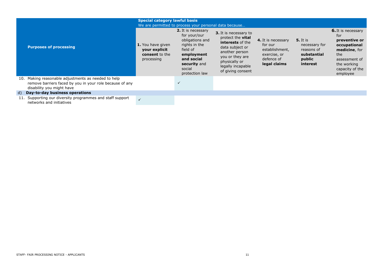|                                                                                                                                              | <b>Special category lawful basis</b><br>We are permitted to process your personal data because |                                                                                                                                                            |                                                                                                                                                                                                 |                                                                                               |                                                                                     |                                                                                                                                                          |  |
|----------------------------------------------------------------------------------------------------------------------------------------------|------------------------------------------------------------------------------------------------|------------------------------------------------------------------------------------------------------------------------------------------------------------|-------------------------------------------------------------------------------------------------------------------------------------------------------------------------------------------------|-----------------------------------------------------------------------------------------------|-------------------------------------------------------------------------------------|----------------------------------------------------------------------------------------------------------------------------------------------------------|--|
| <b>Purposes of processing</b>                                                                                                                | 1. You have given<br>your explicit<br>consent to the<br>processing                             | 2. It is necessary<br>for your/our<br>obligations and<br>rights in the<br>field of<br>employment<br>and social<br>security and<br>social<br>protection law | 3. It is necessary to<br>protect the <b>vital</b><br><b>interests</b> of the<br>data subject or<br>another person<br>you or they are<br>physically or<br>legally incapable<br>of giving consent | 4. It is necessary<br>for our<br>establishment,<br>exercise, or<br>defence of<br>legal claims | <b>5.</b> It is<br>necessary for<br>reasons of<br>substantial<br>public<br>interest | <b>6.</b> It is necessary<br>for<br>preventive or<br>occupational<br>medicine, for<br>the<br>assessment of<br>the working<br>capacity of the<br>employee |  |
| 10. Making reasonable adjustments as needed to help<br>remove barriers faced by you in your role because of any<br>disability you might have |                                                                                                | $\checkmark$                                                                                                                                               |                                                                                                                                                                                                 |                                                                                               |                                                                                     |                                                                                                                                                          |  |
| d) Day-to-day business operations                                                                                                            |                                                                                                |                                                                                                                                                            |                                                                                                                                                                                                 |                                                                                               |                                                                                     |                                                                                                                                                          |  |
| 11. Supporting our diversity programmes and staff support<br>networks and initiatives                                                        |                                                                                                |                                                                                                                                                            |                                                                                                                                                                                                 |                                                                                               |                                                                                     |                                                                                                                                                          |  |